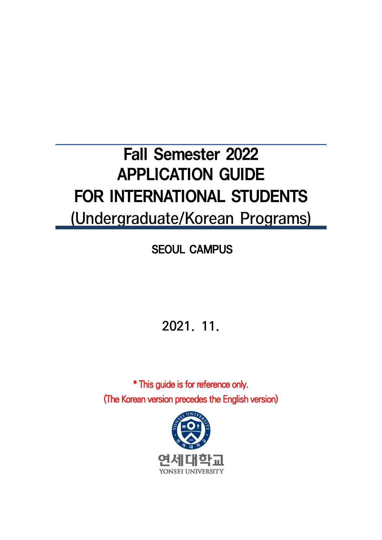# Fall Semester 2022 APPLICATION GUIDE FOR INTERNATIONAL STUDENTS (Undergraduate/Korean Programs)

SEOUL CAMPUS

2021. 11.

\* This guide is for reference only. (The Korean version precedes the English version)

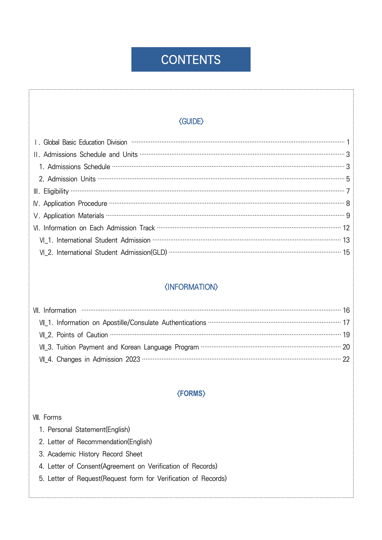## **CONTENTS**

### **〈GUIDE〉**

| VI_2. International Student Admission(GLD) …………………………………………………………………………………… 15 |
|--------------------------------------------------------------------------------|

### *<u><b>{INFORMATION}</u>*

| VII_1. Information on Apostille/Consulate Authentications …………………………………………………………… 17 |  |
|--------------------------------------------------------------------------------------|--|
|                                                                                      |  |
| VII_3. Tuition Payment and Korean Language Program …………………………………………………………………… 20     |  |
|                                                                                      |  |

### **〈FORMS〉**

#### VIII. Forms

- 1. Personal Statement(English)
- 2. Letter of Recommendation(English)
- 3. Academic History Record Sheet
- 4. Letter of Consent(Agreement on Verification of Records)
- 5. Letter of Request(Request form for Verification of Records)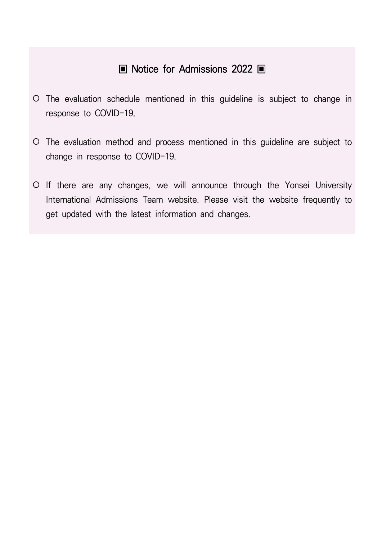## ▣ Notice for Admissions 2022 ▣

- The evaluation schedule mentioned in this guideline is subject to change in response to COVID-19.
- The evaluation method and process mentioned in this guideline are subject to change in response to COVID-19.
- If there are any changes, we will announce through the Yonsei University International Admissions Team website. Please visit the website frequently to get updated with the latest information and changes.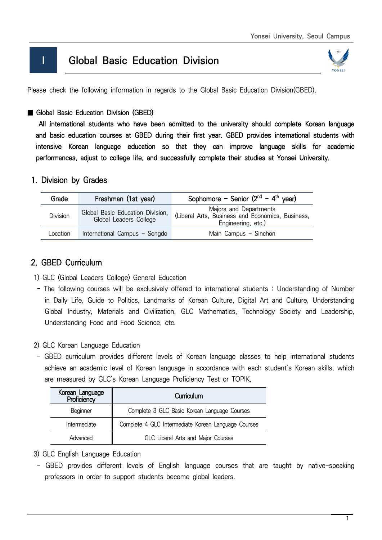## **I Global Basic Education Division**



Please check the following information in regards to the Global Basic Education Division(GBED).

### ■ Global Basic Education Division (GBED)

 All international students who have been admitted to the university should complete Korean language and basic education courses at GBED during their first year. GBED provides international students with intensive Korean language education so that they can improve language skills for academic performances, adjust to college life, and successfully complete their studies at Yonsei University.

### 1. Division by Grades

| Grade    | Freshman (1st year)                                        | Sophomore - Senior $(2^{nd} - 4^{th} \text{ year})$                                              |
|----------|------------------------------------------------------------|--------------------------------------------------------------------------------------------------|
| Division | Global Basic Education Division,<br>Global Leaders College | Majors and Departments<br>(Liberal Arts, Business and Economics, Business,<br>Engineering, etc.) |
| Location | International Campus - Songdo                              | Main Campus - Sinchon                                                                            |

### 2. GBED Curriculum

- 1) GLC (Global Leaders College) General Education
- The following courses will be exclusively offered to international students : Understanding of Number in Daily Life, Guide to Politics, Landmarks of Korean Culture, Digital Art and Culture, Understanding Global Industry, Materials and Civilization, GLC Mathematics, Technology Society and Leadership, Understanding Food and Food Science, etc.
- 2) GLC Korean Language Education
- GBED curriculum provides different levels of Korean language classes to help international students achieve an academic level of Korean language in accordance with each student's Korean skills, which are measured by GLC's Korean Language Proficiency Test or TOPIK.

| Korean Language<br>Proficiency | Curriculum                                          |
|--------------------------------|-----------------------------------------------------|
| Beginner                       | Complete 3 GLC Basic Korean Language Courses        |
| Intermediate                   | Complete 4 GLC Intermediate Korean Language Courses |
| Advanced                       | GLC Liberal Arts and Major Courses                  |

- 3) GLC English Language Education
- GBED provides different levels of English language courses that are taught by native-speaking professors in order to support students become global leaders.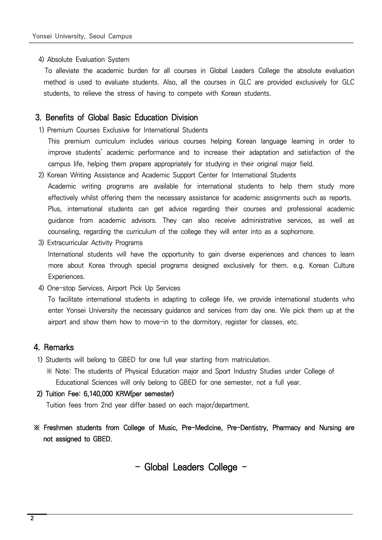#### 4) Absolute Evaluation System

 To alleviate the academic burden for all courses in Global Leaders College the absolute evaluation method is used to evaluate students. Also, all the courses in GLC are provided exclusively for GLC students, to relieve the stress of having to compete with Korean students.

### 3. Benefits of Global Basic Education Division

- 1) Premium Courses Exclusive for International Students This premium curriculum includes various courses helping Korean language learning in order to improve students' academic performance and to increase their adaptation and satisfaction of the campus life, helping them prepare appropriately for studying in their original major field.
- 2) Korean Writing Assistance and Academic Support Center for International Students Academic writing programs are available for international students to help them study more effectively whilst offering them the necessary assistance for academic assignments such as reports. Plus, international students can get advice regarding their courses and professional academic guidance from academic advisors. They can also receive administrative services, as well as counseling, regarding the curriculum of the college they will enter into as a sophomore.
- 3) Extracurricular Activity Programs International students will have the opportunity to gain diverse experiences and chances to learn more about Korea through special programs designed exclusively for them. e.g. Korean Culture Experiences.
- 4) One-stop Services, Airport Pick Up Services

 To facilitate international students in adapting to college life, we provide international students who enter Yonsei University the necessary guidance and services from day one. We pick them up at the airport and show them how to move-in to the dormitory, register for classes, etc.

### 4. Remarks

- 1) Students will belong to GBED for one full year starting from matriculation.
	- ※ Note: The students of Physical Education major and Sport Industry Studies under College of Educational Sciences will only belong to GBED for one semester, not a full year.

### 2) Tuition Fee: 6,140,000 KRW(per semester)

Tuition fees from 2nd year differ based on each major/department.

※ Freshmen students from College of Music, Pre-Medicine, Pre-Dentistry, Pharmacy and Nursing are not assigned to GBED.

- Global Leaders College -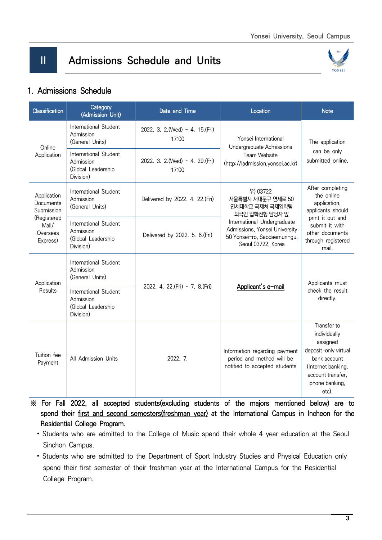## II Admissions Schedule and Units



### 1. Admissions Schedule

| <b>Classification</b>                        | Category<br>Date and Time<br>(Admission Unit)                         |                                           | Location                                                                                                          | <b>Note</b>                                                                                                                                           |  |
|----------------------------------------------|-----------------------------------------------------------------------|-------------------------------------------|-------------------------------------------------------------------------------------------------------------------|-------------------------------------------------------------------------------------------------------------------------------------------------------|--|
| Online                                       | International Student<br>Admission<br>(General Units)                 | 2022. 3. 2. (Wed) ~ 4. 15. (Fri)<br>17:00 | Yonsei International<br>Undergraduate Admissions                                                                  | The application                                                                                                                                       |  |
| Application                                  | International Student<br>Admission<br>(Global Leadership<br>Division) | 2022. 3. 2. (Wed) ~ 4. 29. (Fri)<br>17:00 | Team Website<br>(http://iadmission.yonsei.ac.kr)                                                                  | can be only<br>submitted online.                                                                                                                      |  |
| Application<br>Documents<br>Submission       | International Student<br>Admission<br>(General Units)                 | Delivered by 2022. 4. 22. (Fri)           | 우) 03722<br>서울특별시 서대문구 연세로 50<br>연세대학교 국제처 국제입학팀<br>외국인 입학전형 담당자 앞                                                | After completing<br>the online<br>application,<br>applicants should                                                                                   |  |
| (Registered<br>Mail/<br>Overseas<br>Express) | International Student<br>Admission<br>(Global Leadership<br>Division) | Delivered by 2022. 5. 6. (Fri)            | International Undergraduate<br>Admissions, Yonsei University<br>50 Yonsei-ro, Seodaemun-gu,<br>Seoul 03722, Korea | print it out and<br>submit it with<br>other documents<br>through registered<br>mail.                                                                  |  |
| Application                                  | International Student<br>Admission<br>(General Units)                 | 2022. 4. 22. (Fri) ~ 7. 8. (Fri)          | Applicant's e-mail                                                                                                | Applicants must                                                                                                                                       |  |
| Results                                      | International Student<br>Admission<br>(Global Leadership<br>Division) |                                           |                                                                                                                   | check the result<br>directly.                                                                                                                         |  |
| Tuition fee<br>Payment                       | All Admission Units                                                   | 2022. 7.                                  | Information regarding payment<br>period and method will be<br>notified to accepted students                       | Transfer to<br>individually<br>assigned<br>deposit-only virtual<br>bank account<br>(Internet banking,<br>account transfer.<br>phone banking,<br>etc). |  |

 ※ For Fall 2022, all accepted students(excluding students of the majors mentioned below) are to spend their first and second semesters(freshman year) at the International Campus in Incheon for the Residential College Program.

- Students who are admitted to the College of Music spend their whole 4 year education at the Seoul Sinchon Campus.
- Students who are admitted to the Department of Sport Industry Studies and Physical Education only spend their first semester of their freshman year at the International Campus for the Residential College Program.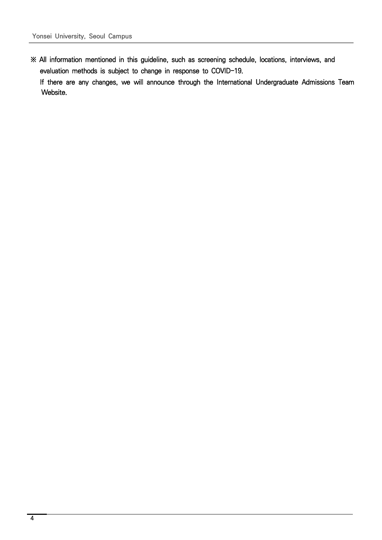※ All information mentioned in this guideline, such as screening schedule, locations, interviews, and evaluation methods is subject to change in response to COVID-19.

 If there are any changes, we will announce through the International Undergraduate Admissions Team Website.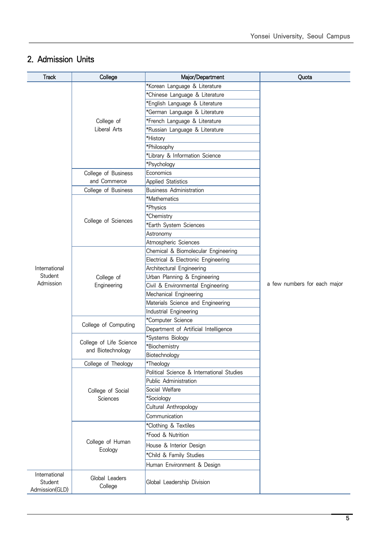### 2. Admission Units

| <b>Track</b>              | College                   | Major/Department                          | Quota                        |
|---------------------------|---------------------------|-------------------------------------------|------------------------------|
|                           |                           | *Korean Language & Literature             |                              |
|                           |                           | *Chinese Language & Literature            |                              |
|                           |                           | *English Language & Literature            |                              |
|                           |                           | *German Language & Literature             |                              |
|                           | College of                | *French Language & Literature             |                              |
|                           | Liberal Arts              | *Russian Language & Literature            |                              |
|                           |                           | *History                                  |                              |
|                           |                           | *Philosophy                               |                              |
|                           |                           | *Library & Information Science            |                              |
|                           |                           | *Psychology                               |                              |
|                           | College of Business       | Economics                                 |                              |
|                           | and Commerce              | <b>Applied Statistics</b>                 |                              |
|                           | College of Business       | <b>Business Administration</b>            |                              |
|                           |                           | *Mathematics                              |                              |
|                           |                           | *Physics                                  |                              |
|                           | College of Sciences       | *Chemistry                                |                              |
|                           |                           | *Earth System Sciences                    |                              |
|                           |                           | Astronomy                                 |                              |
|                           |                           | Atmospheric Sciences                      |                              |
|                           |                           | Chemical & Biomolecular Engineering       |                              |
|                           | College of<br>Engineering | Electrical & Electronic Engineering       |                              |
| International             |                           | Architectural Engineering                 |                              |
| Student                   |                           | Urban Planning & Engineering              |                              |
| Admission                 |                           | Civil & Environmental Engineering         | a few numbers for each major |
|                           |                           | Mechanical Engineering                    |                              |
|                           |                           | Materials Science and Engineering         |                              |
|                           |                           | Industrial Engineering                    |                              |
|                           | College of Computing      | *Computer Science                         |                              |
|                           |                           | Department of Artificial Intelligence     |                              |
|                           | College of Life Science   | *Systems Biology                          |                              |
|                           | and Biotechnology         | *Biochemistry                             |                              |
|                           |                           | Biotechnology                             |                              |
|                           | College of Theology       | *Theology                                 |                              |
|                           |                           | Political Science & International Studies |                              |
|                           |                           | Public Administration                     |                              |
|                           | College of Social         | Social Welfare                            |                              |
|                           | Sciences                  | *Sociology                                |                              |
|                           |                           | Cultural Anthropology                     |                              |
|                           |                           | Communication                             |                              |
|                           |                           | *Clothing & Textiles                      |                              |
|                           |                           | *Food & Nutrition                         |                              |
|                           | College of Human          | House & Interior Design                   |                              |
|                           | Ecology                   | *Child & Family Studies                   |                              |
|                           |                           | Human Environment & Design                |                              |
| International             |                           |                                           |                              |
| Student<br>Admission(GLD) | Global Leaders<br>College | Global Leadership Division                |                              |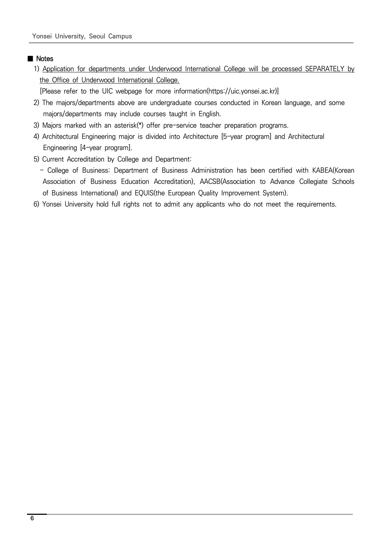### ■ Notes

 1) Application for departments under Underwood International College will be processed SEPARATELY by the Office of Underwood International College.

[Please refer to the UIC webpage for more information(https://uic.yonsei.ac.kr)]

- 2) The majors/departments above are undergraduate courses conducted in Korean language, and some majors/departments may include courses taught in English.
- 3) Majors marked with an asterisk(\*) offer pre-service teacher preparation programs.
- 4) Architectural Engineering major is divided into Architecture [5-year program] and Architectural Engineering [4-year program].
- 5) Current Accreditation by College and Department:
	- College of Business: Department of Business Administration has been certified with KABEA(Korean Association of Business Education Accreditation), AACSB(Association to Advance Collegiate Schools of Business International) and EQUIS(the European Quality Improvement System).
- 6) Yonsei University hold full rights not to admit any applicants who do not meet the requirements.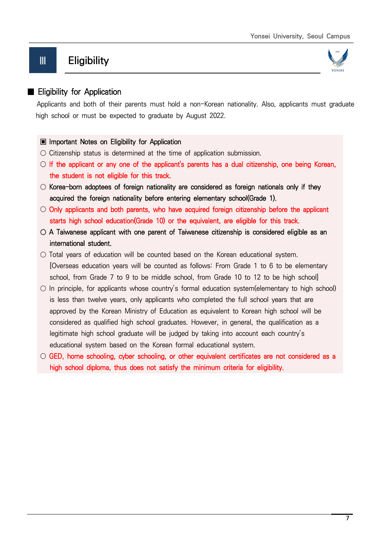## Ⅲ Eligibility



### ■ Eligibility for Application

 Applicants and both of their parents must hold a non-Korean nationality. Also, applicants must graduate high school or must be expected to graduate by August 2022.

### ▣ Important Notes on Eligibility for Application

- Citizenship status is determined at the time of application submission.
- $\circ$  If the applicant or any one of the applicant's parents has a dual citizenship, one being Korean, the student is not eligible for this track.
- $\circ$  Korea-born adoptees of foreign nationality are considered as foreign nationals only if they acquired the foreign nationality before entering elementary school(Grade 1).
- $\circ$  Only applicants and both parents, who have acquired foreign citizenship before the applicant starts high school education(Grade 10) or the equivalent, are eligible for this track.
- $\circ$  A Taiwanese applicant with one parent of Taiwanese citizenship is considered eligible as an international student.
- Total years of education will be counted based on the Korean educational system. [Overseas education years will be counted as follows: From Grade 1 to 6 to be elementary school, from Grade 7 to 9 to be middle school, from Grade 10 to 12 to be high school]
- $\circ$  In principle, for applicants whose country's formal education system(elementary to high school) is less than twelve years, only applicants who completed the full school years that are approved by the Korean Ministry of Education as equivalent to Korean high school will be considered as qualified high school graduates. However, in general, the qualification as a legitimate high school graduate will be judged by taking into account each country's educational system based on the Korean formal educational system.
- GED, home schooling, cyber schooling, or other equivalent certificates are not considered as a high school diploma, thus does not satisfy the minimum criteria for eligibility.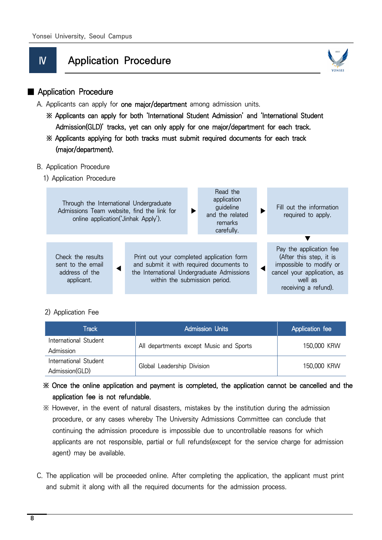## Ⅳ Application Procedure



### ■ Application Procedure

- A. Applicants can apply for one major/department among admission units.
	- ※ Applicants can apply for both 'International Student Admission' and 'International Student Admission(GLD)' tracks, yet can only apply for one major/department for each track.
	- ※ Applicants applying for both tracks must submit required documents for each track (major/department).

### B. Application Procedure

1) Application Procedure

| Through the International Undergraduate<br>Admissions Team website, find the link for<br>online application ('Jinhak Apply'). |  |                                                                                                                                                                      | Read the<br>application<br>guideline<br>and the related<br>remarks<br>carefully. | Fill out the information<br>required to apply. |                                                                                                                                                 |
|-------------------------------------------------------------------------------------------------------------------------------|--|----------------------------------------------------------------------------------------------------------------------------------------------------------------------|----------------------------------------------------------------------------------|------------------------------------------------|-------------------------------------------------------------------------------------------------------------------------------------------------|
|                                                                                                                               |  |                                                                                                                                                                      |                                                                                  |                                                |                                                                                                                                                 |
| Check the results<br>sent to the email<br>address of the<br>applicant.                                                        |  | Print out your completed application form<br>and submit it with required documents to<br>the International Undergraduate Admissions<br>within the submission period. |                                                                                  |                                                | Pay the application fee<br>(After this step, it is<br>impossible to modify or<br>cancel your application, as<br>well as<br>receiving a refund). |

### 2) Application Fee

| Track                 | <b>Admission Units</b>                  | Application fee |  |
|-----------------------|-----------------------------------------|-----------------|--|
| International Student | All departments except Music and Sports | 150,000 KRW     |  |
| Admission             |                                         |                 |  |
| International Student | Global Leadership Division              |                 |  |
| Admission(GLD)        |                                         | 150,000 KRW     |  |

### ※ Once the online application and payment is completed, the application cannot be cancelled and the application fee is not refundable.

- ※ However, in the event of natural disasters, mistakes by the institution during the admission procedure, or any cases whereby The University Admissions Committee can conclude that continuing the admission procedure is impossible due to uncontrollable reasons for which applicants are not responsible, partial or full refunds(except for the service charge for admission agent) may be available.
- C. The application will be proceeded online. After completing the application, the applicant must print and submit it along with all the required documents for the admission process.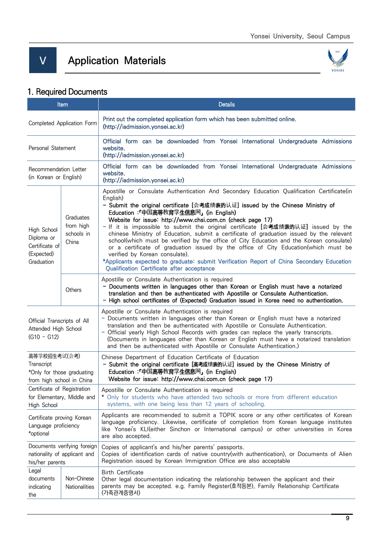## Ⅴ Application Materials



## 1. Required Documents

| Item                                                                                  |                                               | <b>Details</b>                                                                                                                                                                                                                                                                                                                                                                                                                                                                                                                                                                                                                                                                                                                                                                                                                               |  |  |  |
|---------------------------------------------------------------------------------------|-----------------------------------------------|----------------------------------------------------------------------------------------------------------------------------------------------------------------------------------------------------------------------------------------------------------------------------------------------------------------------------------------------------------------------------------------------------------------------------------------------------------------------------------------------------------------------------------------------------------------------------------------------------------------------------------------------------------------------------------------------------------------------------------------------------------------------------------------------------------------------------------------------|--|--|--|
| Completed Application Form                                                            |                                               | Print out the completed application form which has been submitted online.<br>(http://iadmission.yonsei.ac.kr)                                                                                                                                                                                                                                                                                                                                                                                                                                                                                                                                                                                                                                                                                                                                |  |  |  |
| Personal Statement                                                                    |                                               | Official form can be downloaded from Yonsei International Undergraduate Admissions<br>website.<br>(http://iadmission.yonsei.ac.kr)                                                                                                                                                                                                                                                                                                                                                                                                                                                                                                                                                                                                                                                                                                           |  |  |  |
| Recommendation Letter<br>(in Korean or English)                                       |                                               | Official form can be downloaded from Yonsei International Undergraduate Admissions<br>website.<br>(http://iadmission.yonsei.ac.kr)                                                                                                                                                                                                                                                                                                                                                                                                                                                                                                                                                                                                                                                                                                           |  |  |  |
| High School<br>Diploma or<br>Certificate of<br>(Expected)<br>Graduation               | Graduates<br>from high<br>schools in<br>China | Apostille or Consulate Authentication And Secondary Education Qualification Certificate(in<br>English)<br>- Submit the original certificate [会考成绩表的认证] issued by the Chinese Ministry of<br>Education:「中国高等教育学生信息网」(in English)<br>Website for issue: http://www.chsi.com.cn (check page 17)<br>- If it is impossible to submit the original certificate [会考成绩表的认证] issued by the<br>chinese Ministry of Education, submit a certificate of graduation issued by the relevant<br>school(which must be verified by the office of City Education and the Korean consulate)<br>or a certificate of graduation issued by the office of City Education(which must be<br>verified by Korean consulate).<br>*Applicants expected to graduate: submit Verification Report of China Secondary Education<br>Qualification Certificate after acceptance |  |  |  |
|                                                                                       | Others                                        | Apostille or Consulate Authentication is required<br>- Documents written in languages other than Korean or English must have a notarized<br>translation and then be authenticated with Apostille or Consulate Authentication.<br>- High school certificates of (Expected) Graduation issued in Korea need no authentication.                                                                                                                                                                                                                                                                                                                                                                                                                                                                                                                 |  |  |  |
| Official Transcripts of All<br>Attended High School<br>$(G10 - G12)$                  |                                               | Apostille or Consulate Authentication is required<br>- Documents written in languages other than Korean or English must have a notarized<br>translation and then be authenticated with Apostille or Consulate Authentication.<br>- Official yearly High School Records with grades can replace the yearly transcripts.<br>(Documents in languages other than Korean or English must have a notarized translation<br>and then be authenticated with Apostille or Consulate Authentication.)                                                                                                                                                                                                                                                                                                                                                   |  |  |  |
| 高等学校招生考试(会考)<br>Transcript<br>*Only for those graduating<br>from high school in China |                                               | Chinese Department of Education Certificate of Education<br>- Submit the original certificate [高考成绩表的认证] issued by the Chinese Ministry of<br>Education:「中国高等教育学生信息网」(in English)<br>Website for issue: http://www.chsi.com.cn (check page 17)                                                                                                                                                                                                                                                                                                                                                                                                                                                                                                                                                                                               |  |  |  |
| Certificate of Registration<br>for Elementary, Middle and<br>High School              |                                               | Apostille or Consulate Authentication is required<br>* Only for students who have attended two schools or more from different education<br>systems, with one being less than 12 years of schooling.                                                                                                                                                                                                                                                                                                                                                                                                                                                                                                                                                                                                                                          |  |  |  |
| Certificate proving Korean<br>Language proficiency<br>*optional                       |                                               | Applicants are recommended to submit a TOPIK score or any other certificates of Korean<br>language proficiency. Likewise, certificate of completion from Korean language institutes<br>like Yonsei's KLI(either Sinchon or International campus) or other universities in Korea<br>are also accepted.                                                                                                                                                                                                                                                                                                                                                                                                                                                                                                                                        |  |  |  |
| Documents verifying foreign<br>nationality of applicant and<br>his/her parents        |                                               | Copies of applicant's and his/her parents' passports.<br>Copies of identification cards of native country(with authentication), or Documents of Alien<br>Registration issued by Korean Immigration Office are also acceptable                                                                                                                                                                                                                                                                                                                                                                                                                                                                                                                                                                                                                |  |  |  |
| Legal<br>Non-Chinese<br>documents<br>Nationalities<br>indicating<br>the               |                                               | <b>Birth Certificate</b><br>Other legal documentation indicating the relationship between the applicant and their<br>parents may be accepted. e.g. Family Register(호적등본), Family Relationship Certificate<br>(가족관계증명서)                                                                                                                                                                                                                                                                                                                                                                                                                                                                                                                                                                                                                       |  |  |  |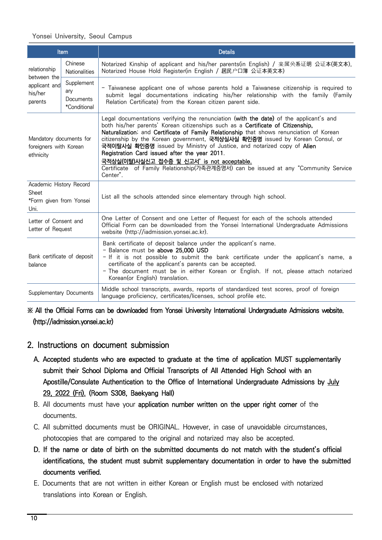### Yonsei University, Seoul Campus

| Item                                                                |                                                | <b>Details</b>                                                                                                                                                                                                                                                                                                                                                                                                                                                                                                                                                                                                                     |
|---------------------------------------------------------------------|------------------------------------------------|------------------------------------------------------------------------------------------------------------------------------------------------------------------------------------------------------------------------------------------------------------------------------------------------------------------------------------------------------------------------------------------------------------------------------------------------------------------------------------------------------------------------------------------------------------------------------------------------------------------------------------|
| relationship<br>between the                                         | Chinese<br><b>Nationalities</b>                | Notarized Kinship of applicant and his/her parents(in English) / 亲属关系证明 公证本(英文本),<br>Notarized House Hold Register(in English / 居民户口簿 公证本英文本)                                                                                                                                                                                                                                                                                                                                                                                                                                                                                      |
| applicant and<br>his/her<br>parents                                 | Supplement<br>ary<br>Documents<br>*Conditional | - Taiwanese applicant one of whose parents hold a Taiwanese citizenship is required to<br>submit legal documentations indicating his/her relationship with the family (Family<br>Relation Certificate) from the Korean citizen parent side.                                                                                                                                                                                                                                                                                                                                                                                        |
| Mandatory documents for<br>foreigners with Korean<br>ethnicity      |                                                | Legal documentations verifying the renunciation (with the date) of the applicant's and<br>both his/her parents' Korean citizenships such as a Certificate of Citizenship,<br>Naturalization; and Certificate of Family Relationship that shows renunciation of Korean<br>citizenship by the Korean government, 국적상실사실 확인증명 issued by Korean Consul, or<br>국적이탈사실 확인증명 issued by Ministry of Justice, and notarized copy of Alien<br>Registration Card issued after the year 2011.<br>국적상실(이탈)사실신고 접수증 및 신고서' is not acceptable.<br>Certificate of Family Relationship(가족관계증명서) can be issued at any "Community Service<br>Center". |
| Academic History Record<br>Sheet<br>*Form given from Yonsei<br>Uni. |                                                | List all the schools attended since elementary through high school.                                                                                                                                                                                                                                                                                                                                                                                                                                                                                                                                                                |
| Letter of Consent and<br>Letter of Request                          |                                                | One Letter of Consent and one Letter of Request for each of the schools attended<br>Official Form can be downloaded from the Yonsei International Undergraduate Admissions<br>website (http://iadmission.yonsei.ac.kr).                                                                                                                                                                                                                                                                                                                                                                                                            |
| Bank certificate of deposit<br>balance                              |                                                | Bank certificate of deposit balance under the applicant's name.<br>- Balance must be above 25,000 USD<br>- If it is not possible to submit the bank certificate under the applicant's name, a<br>certificate of the applicant's parents can be accepted.<br>- The document must be in either Korean or English. If not, please attach notarized<br>Korean (or English) translation.                                                                                                                                                                                                                                                |
| Supplementary Documents                                             |                                                | Middle school transcripts, awards, reports of standardized test scores, proof of foreign<br>language proficiency, certificates/licenses, school profile etc.                                                                                                                                                                                                                                                                                                                                                                                                                                                                       |

### ※ All the Official Forms can be downloaded from Yonsei University International Undergraduate Admissions website. (http://iadmission.yonsei.ac.kr)

### 2. Instructions on document submission

- A. Accepted students who are expected to graduate at the time of application MUST supplementarily submit their School Diploma and Official Transcripts of All Attended High School with an Apostille/Consulate Authentication to the Office of International Undergraduate Admissions by July 29, 2022 (Fri). (Room S308, Baekyang Hall)
- B. All documents must have your application number written on the upper right corner of the documents.
- C. All submitted documents must be ORIGINAL. However, in case of unavoidable circumstances, photocopies that are compared to the original and notarized may also be accepted.
- D. If the name or date of birth on the submitted documents do not match with the student's official identifications, the student must submit supplementary documentation in order to have the submitted documents verified.
- E. Documents that are not written in either Korean or English must be enclosed with notarized translations into Korean or English.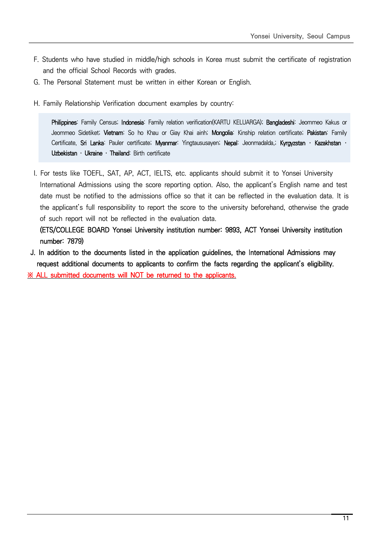- F. Students who have studied in middle/high schools in Korea must submit the certificate of registration and the official School Records with grades.
- G. The Personal Statement must be written in either Korean or English.
- H. Family Relationship Verification document examples by country:

Philippines: Family Census; Indonesia: Family relation verification(KARTU KELUARGA); Bangladeshi: Jeommeo Kakus or Jeommeo Sidetiket; Vietnam: So ho Khau or Giay Khai ainh; Mongolia: Kinship relation certificate; Pakistan: Family Certificate, Sri Lanka: Pauler certificate; Myanmar: Yingtaususayen; Nepal: Jeonmadalda,; Kyrgyzstan · Kazakhstan · Uzbekistan · Ukraine · Thailand: Birth certificate

 I. For tests like TOEFL, SAT, AP, ACT, IELTS, etc. applicants should submit it to Yonsei University International Admissions using the score reporting option. Also, the applicant's English name and test date must be notified to the admissions office so that it can be reflected in the evaluation data. It is the applicant's full responsibility to report the score to the university beforehand, otherwise the grade of such report will not be reflected in the evaluation data.

 (ETS/COLLEGE BOARD Yonsei University institution number: 9893, ACT Yonsei University institution number: 7879)

 J. In addition to the documents listed in the application guidelines, the International Admissions may request additional documents to applicants to confirm the facts regarding the applicant's eligibility. ※ ALL submitted documents will NOT be returned to the applicants.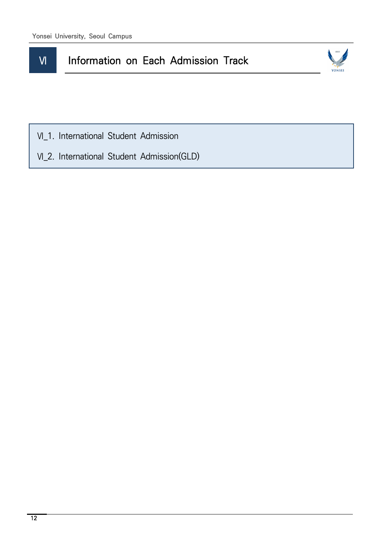## **VI** Information on Each Admission Track



Ⅵ\_1. International Student Admission

Ⅵ\_2. International Student Admission(GLD)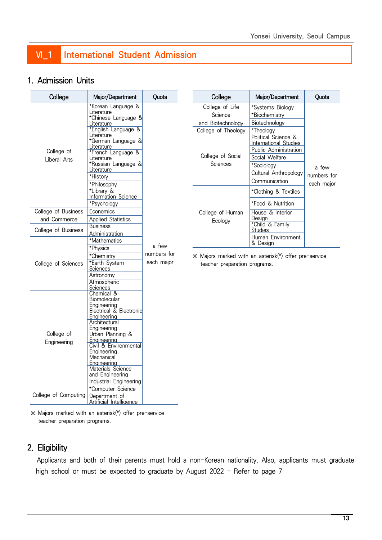## **VI\_1** International Student Admission

### 1. Admission Units

| College                    | Major/Department                                                                                                                                                                                                                                                 | Quota       |                             |
|----------------------------|------------------------------------------------------------------------------------------------------------------------------------------------------------------------------------------------------------------------------------------------------------------|-------------|-----------------------------|
| College of<br>Liberal Arts | *Korean Language &<br>Literature<br>*Chinese Language &<br>Literature<br>*English Language &<br>Literature<br>*German Language &<br>Literature<br>*French Language &<br>Literature<br>*Russian Language &<br>Literature<br>*History<br>*Philosophy<br>*Library & |             | Co<br>and<br>Colleg<br>Coll |
|                            | Information Science<br>*Psychology                                                                                                                                                                                                                               |             |                             |
| College of Business        | Economics                                                                                                                                                                                                                                                        |             | Colle                       |
| and Commerce               | <b>Applied Statistics</b>                                                                                                                                                                                                                                        |             |                             |
| College of Business        | <b>Business</b>                                                                                                                                                                                                                                                  |             |                             |
|                            | Administration                                                                                                                                                                                                                                                   |             |                             |
|                            | *Mathematics                                                                                                                                                                                                                                                     |             |                             |
|                            | *Physics                                                                                                                                                                                                                                                         | a few       |                             |
|                            | *Chemistry                                                                                                                                                                                                                                                       | numbers for | ※ Majo                      |
| College of Sciences        | *Earth System<br><u>Sciences</u>                                                                                                                                                                                                                                 | each major  | tead                        |
|                            | Astronomy                                                                                                                                                                                                                                                        |             |                             |
|                            | Atmospheric                                                                                                                                                                                                                                                      |             |                             |
|                            | Sciences                                                                                                                                                                                                                                                         |             |                             |
|                            | Chemical &                                                                                                                                                                                                                                                       |             |                             |
|                            | <b>Biomolecular</b>                                                                                                                                                                                                                                              |             |                             |
|                            | Engineering<br>Electrical & Electronic                                                                                                                                                                                                                           |             |                             |
|                            | Engineering                                                                                                                                                                                                                                                      |             |                             |
|                            | Architectural                                                                                                                                                                                                                                                    |             |                             |
|                            | Engineering                                                                                                                                                                                                                                                      |             |                             |
| College of                 | Urban Planning &                                                                                                                                                                                                                                                 |             |                             |
| Engineering                | Engineering<br>Civil & Environmental                                                                                                                                                                                                                             |             |                             |
|                            | Engineering                                                                                                                                                                                                                                                      |             |                             |
|                            | Mechanical                                                                                                                                                                                                                                                       |             |                             |
|                            | Engineering                                                                                                                                                                                                                                                      |             |                             |
|                            | Materials Science                                                                                                                                                                                                                                                |             |                             |
|                            | and Engineering                                                                                                                                                                                                                                                  |             |                             |
|                            | Industrial Engineering                                                                                                                                                                                                                                           |             |                             |
| College of Computing       | *Computer Science                                                                                                                                                                                                                                                |             |                             |
|                            | Department of<br><b>Artificial Intelligence</b>                                                                                                                                                                                                                  |             |                             |

| College                     | Major/Department                                                             | Ouota       |
|-----------------------------|------------------------------------------------------------------------------|-------------|
| College of Life             | *Systems Biology                                                             |             |
| Science                     | *Biochemistry                                                                |             |
| and Biotechnology           | Biotechnology                                                                |             |
| College of Theology         | *Theology                                                                    |             |
|                             | Political Science &<br>International Studies<br><b>Public Administration</b> |             |
| College of Social           | Social Welfare                                                               |             |
| Sciences                    | *Sociology                                                                   | a few       |
|                             | Cultural Anthropology                                                        | numbers for |
|                             | Communication                                                                | each major  |
|                             | *Clothing & Textiles                                                         |             |
|                             | *Food & Nutrition                                                            |             |
| College of Human<br>Ecology | House & Interior<br>Design<br>*Child & Family<br><b>Studies</b>              |             |
|                             | Human Environment<br>& Design                                                |             |

ors marked with an asterisk(\*) offer pre-service ther preparation programs.

※ Majors marked with an asterisk(\*) offer pre-service teacher preparation programs.

### 2. Eligibility

 Applicants and both of their parents must hold a non-Korean nationality. Also, applicants must graduate high school or must be expected to graduate by August 2022 - Refer to page 7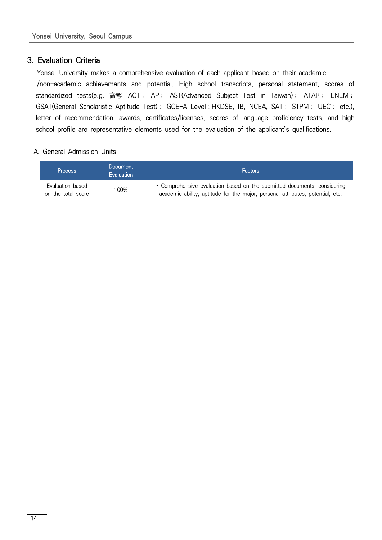### 3. Evaluation Criteria

 Yonsei University makes a comprehensive evaluation of each applicant based on their academic /non-academic achievements and potential. High school transcripts, personal statement, scores of standardized tests(e.g. 高考; ACT; AP; AST(Advanced Subject Test in Taiwan); ATAR; ENEM; GSAT(General Scholaristic Aptitude Test); GCE-A Level; HKDSE, IB, NCEA, SAT; STPM; UEC; etc.), letter of recommendation, awards, certificates/licenses, scores of language proficiency tests, and high school profile are representative elements used for the evaluation of the applicant's qualifications.

### A. General Admission Units

| <b>Process</b>                         | <b>Document</b><br><b>Evaluation</b> | <b>Factors</b>                                                                                                                                             |
|----------------------------------------|--------------------------------------|------------------------------------------------------------------------------------------------------------------------------------------------------------|
| Evaluation based<br>on the total score | 100%                                 | • Comprehensive evaluation based on the submitted documents, considering<br>academic ability, aptitude for the major, personal attributes, potential, etc. |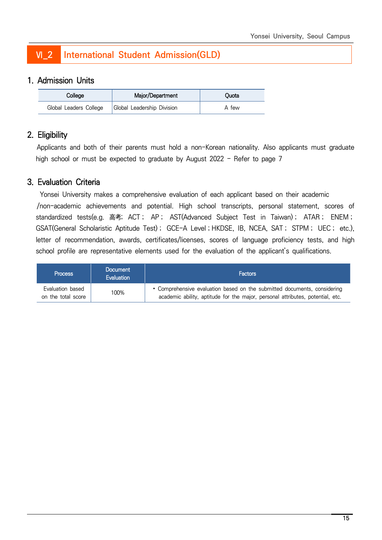## Ⅵ\_2 International Student Admission(GLD)

### 1. Admission Units

| College                | Major/Department           | Ouota |
|------------------------|----------------------------|-------|
| Global Leaders College | Global Leadership Division | A few |

### 2. Eligibility

 Applicants and both of their parents must hold a non-Korean nationality. Also applicants must graduate high school or must be expected to graduate by August 2022 - Refer to page 7

### 3. Evaluation Criteria

 Yonsei University makes a comprehensive evaluation of each applicant based on their academic /non-academic achievements and potential. High school transcripts, personal statement, scores of standardized tests(e.g. 高考; ACT; AP; AST(Advanced Subject Test in Taiwan); ATAR; ENEM; GSAT(General Scholaristic Aptitude Test); GCE-A Level; HKDSE, IB, NCEA, SAT; STPM; UEC; etc.), letter of recommendation, awards, certificates/licenses, scores of language proficiency tests, and high school profile are representative elements used for the evaluation of the applicant's qualifications.

| <b>Process</b>                         | <b>Document</b><br><b>Evaluation</b> | <b>Factors</b>                                                                                                                                             |
|----------------------------------------|--------------------------------------|------------------------------------------------------------------------------------------------------------------------------------------------------------|
| Evaluation based<br>on the total score | 100%                                 | • Comprehensive evaluation based on the submitted documents, considering<br>academic ability, aptitude for the major, personal attributes, potential, etc. |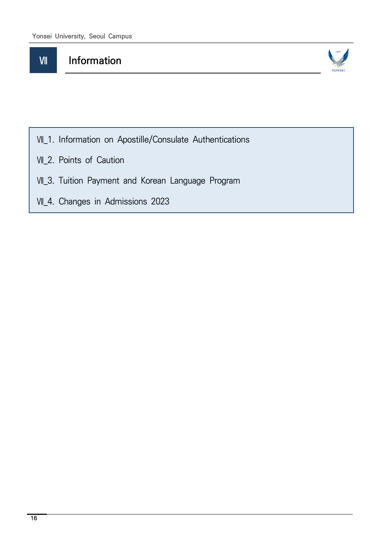## **WI** Information



- Ⅶ\_1. Information on Apostille/Consulate Authentications
- Ⅶ\_2. Points of Caution
- Ⅶ\_3. Tuition Payment and Korean Language Program
- Ⅶ\_4. Changes in Admissions 2023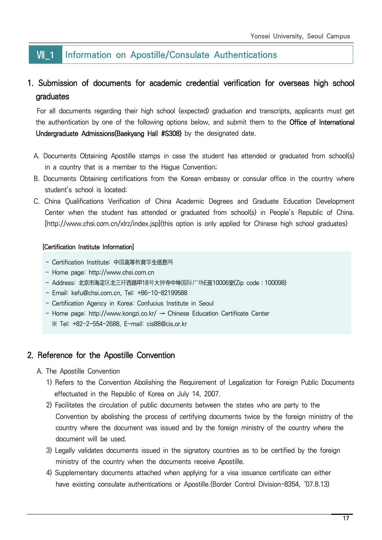### **W** 1 Information on Apostille/Consulate Authentications

### 1. Submission of documents for academic credential verification for overseas high school graduates

 For all documents regarding their high school (expected) graduation and transcripts, applicants must get the authentication by one of the following options below, and submit them to the Office of International Undergraduate Admissions(Baekyang Hall #S308) by the designated date.

- A. Documents Obtaining Apostille stamps in case the student has attended or graduated from school(s) in a country that is a member to the Hague Convention;
- B. Documents Obtaining certifications from the Korean embassy or consular office in the country where student's school is located;
- C. China Qualifications Verification of China Academic Degrees and Graduate Education Development Center when the student has attended or graduated from school(s) in People's Republic of China. [http://www.chsi.com.cn/xlrz/index.jsp](this option is only applied for Chinese high school graduates)

### [Certification Institute Information]

- Certification Institute: 中国高等教育学生信息网
- Home page: http://www.chsi.com.cn
- Address: 北京市海淀区北三环西路甲18号大钟寺中坤国际广场E座10006室(Zip code:100098)
- Email: kefu@chsi.com.cn, Tel: +86-10-82199588
- Certification Agency in Korea: Confucius Institute in Seoul
- Home page: http://www.kongzi.co.kr/ → Chinese Education Certificate Center ※ Tel: +82-2-554-2688, E-mail: cis88@cis.or.kr

### 2. Reference for the Apostille Convention

- A. The Apostille Convention
	- 1) Refers to the Convention Abolishing the Requirement of Legalization for Foreign Public Documents effectuated in the Republic of Korea on July 14, 2007.
	- 2) Facilitates the circulation of public documents between the states who are party to the Convention by abolishing the process of certifying documents twice by the foreign ministry of the country where the document was issued and by the foreign ministry of the country where the document will be used.
	- 3) Legally validates documents issued in the signatory countries as to be certified by the foreign ministry of the country when the documents receive Apostille.
	- 4) Supplementary documents attached when applying for a visa issuance certificate can either have existing consulate authentications or Apostille.(Border Control Division-8354, '07.8.13)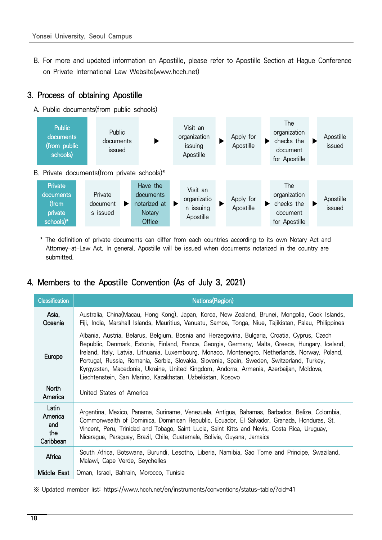B. For more and updated information on Apostille, please refer to Apostille Section at Hague Conference on Private International Law Website(www.hcch.net)

### 3. Process of obtaining Apostille

A. Public documents(from public schools)



\* The definition of private documents can differ from each countries according to its own Notary Act and Attorney-at-Law Act. In general, Apostille will be issued when documents notarized in the country are submitted.

### 4. Members to the Apostille Convention (As of July 3, 2021)

| <b>Classification</b>                       | Nations(Region)                                                                                                                                                                                                                                                                                                                                                                                                                                                                                                                                         |
|---------------------------------------------|---------------------------------------------------------------------------------------------------------------------------------------------------------------------------------------------------------------------------------------------------------------------------------------------------------------------------------------------------------------------------------------------------------------------------------------------------------------------------------------------------------------------------------------------------------|
| Asia,<br>Oceania                            | Australia, China(Macau, Hong Kong), Japan, Korea, New Zealand, Brunei, Mongolia, Cook Islands,<br>Fiji, India, Marshall Islands, Mauritius, Vanuatu, Samoa, Tonga, Niue, Tajikistan, Palau, Philippines                                                                                                                                                                                                                                                                                                                                                 |
| Europe                                      | Albania, Austria, Belarus, Belgium, Bosnia and Herzegovina, Bulgaria, Croatia, Cyprus, Czech<br>Republic, Denmark, Estonia, Finland, France, Georgia, Germany, Malta, Greece, Hungary, Iceland,<br>Ireland, Italy, Latvia, Lithuania, Luxembourg, Monaco, Montenegro, Netherlands, Norway, Poland,<br>Portugal, Russia, Romania, Serbia, Slovakia, Slovenia, Spain, Sweden, Switzerland, Turkey,<br>Kyrgyzstan, Macedonia, Ukraine, United Kingdom, Andorra, Armenia, Azerbaijan, Moldova,<br>Liechtenstein, San Marino, Kazakhstan, Uzbekistan, Kosovo |
| <b>North</b><br>America                     | United States of America                                                                                                                                                                                                                                                                                                                                                                                                                                                                                                                                |
| Latin<br>America<br>and<br>the<br>Caribbean | Argentina, Mexico, Panama, Suriname, Venezuela, Antigua, Bahamas, Barbados, Belize, Colombia,<br>Commonwealth of Dominica, Dominican Republic, Ecuador, El Salvador, Granada, Honduras, St.<br>Vincent, Peru, Trinidad and Tobago, Saint Lucia, Saint Kitts and Nevis, Costa Rica, Uruguay,<br>Nicaragua, Paraguay, Brazil, Chile, Guatemala, Bolivia, Guyana, Jamaica                                                                                                                                                                                  |
| Africa                                      | South Africa, Botswana, Burundi, Lesotho, Liberia, Namibia, Sao Tome and Principe, Swaziland,<br>Malawi, Cape Verde, Seychelles                                                                                                                                                                                                                                                                                                                                                                                                                         |
| Middle East                                 | Oman, Israel, Bahrain, Morocco, Tunisia                                                                                                                                                                                                                                                                                                                                                                                                                                                                                                                 |

※ Updated member list: https://www.hcch.net/en/instruments/conventions/status-table/?cid=41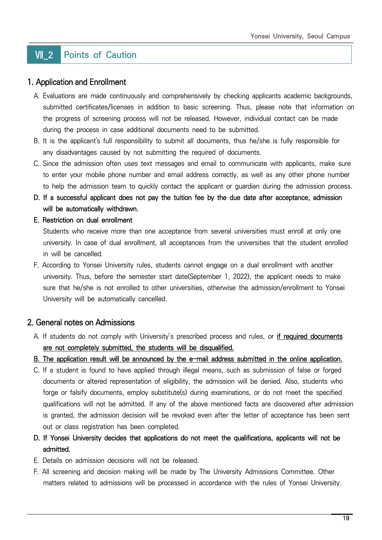## **VII 2 Points of Caution**

### 1. Application and Enrollment

- A. Evaluations are made continuously and comprehensively by checking applicants academic backgrounds, submitted certificates/licenses in addition to basic screening. Thus, please note that information on the progress of screening process will not be released. However, individual contact can be made during the process in case additional documents need to be submitted.
- B. It is the applicant's full responsibility to submit all documents, thus he/she is fully responsible for any disadvantages caused by not submitting the required of documents.
- C. Since the admission often uses text messages and email to communicate with applicants, make sure to enter your mobile phone number and email address correctly, as well as any other phone number to help the admission team to quickly contact the applicant or guardian during the admission process.
- D. If a successful applicant does not pay the tuition fee by the due date after acceptance, admission will be automatically withdrawn.

### E. Restriction on dual enrollment

 Students who receive more than one acceptance from several universities must enroll at only one university. In case of dual enrollment, all acceptances from the universities that the student enrolled in will be cancelled.

 F. According to Yonsei University rules, students cannot engage on a dual enrollment with another university. Thus, before the semester start date(September 1, 2022), the applicant needs to make sure that he/she is not enrolled to other universities, otherwise the admission/enrollment to Yonsei University will be automatically cancelled.

### 2. General notes on Admissions

 A. If students do not comply with University's prescribed process and rules, or if required documents are not completely submitted, the students will be disqualified.

B. The application result will be announced by the e-mail address submitted in the online application.

- C. If a student is found to have applied through illegal means, such as submission of false or forged documents or altered representation of eligibility, the admission will be denied. Also, students who forge or falsify documents, employ substitute(s) during examinations, or do not meet the specified qualifications will not be admitted. If any of the above mentioned facts are discovered after admission is granted, the admission decision will be revoked even after the letter of acceptance has been sent out or class registration has been completed.
- D. If Yonsei University decides that applications do not meet the qualifications, applicants will not be admitted.
- E. Details on admission decisions will not be released.
- F. All screening and decision making will be made by The University Admissions Committee. Other matters related to admissions will be processed in accordance with the rules of Yonsei University.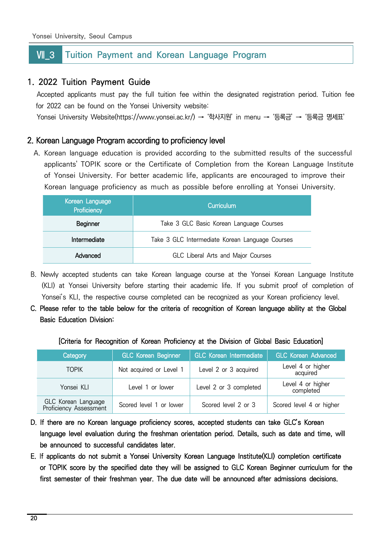### **VII 3** Tuition Payment and Korean Language Program

### 1. 2022 Tuition Payment Guide

 Accepted applicants must pay the full tuition fee within the designated registration period. Tuition fee for 2022 can be found on the Yonsei University website:

Yonsei University Website(https://www.yonsei.ac.kr/) → '학사지원' in menu → '등록금' → '등록금 명세표'

### 2. Korean Language Program according to proficiency level

A. Korean language education is provided according to the submitted results of the successful applicants' TOPIK score or the Certificate of Completion from the Korean Language Institute of Yonsei University. For better academic life, applicants are encouraged to improve their Korean language proficiency as much as possible before enrolling at Yonsei University.

| Korean Language<br>Proficiency | Curriculum                                      |
|--------------------------------|-------------------------------------------------|
| Beginner                       | Take 3 GLC Basic Korean Language Courses        |
| Intermediate                   | Take 3 GLC Intermediate Korean Language Courses |
| Advanced                       | GLC Liberal Arts and Major Courses              |

- B. Newly accepted students can take Korean language course at the Yonsei Korean Language Institute (KLI) at Yonsei University before starting their academic life. If you submit proof of completion of Yonsei's KLI, the respective course completed can be recognized as your Korean proficiency level.
- C. Please refer to the table below for the criteria of recognition of Korean language ability at the Global Basic Education Division:

#### [Criteria for Recognition of Korean Proficiency at the Division of Global Basic Education]

| Category                                      | <b>GLC Korean Beginner</b> | <b>GLC Korean Intermediate</b> | <b>GLC Korean Advanced</b>     |
|-----------------------------------------------|----------------------------|--------------------------------|--------------------------------|
| <b>TOPIK</b>                                  | Not acquired or Level 1    | Level 2 or 3 acquired          | Level 4 or higher<br>acquired  |
| Yonsei KLI                                    | Level 1 or lower           | Level 2 or 3 completed         | Level 4 or higher<br>completed |
| GLC Korean Language<br>Proficiency Assessment | Scored level 1 or lower    | Scored level 2 or 3            | Scored level 4 or higher       |

- D. If there are no Korean language proficiency scores, accepted students can take GLC's Korean language level evaluation during the freshman orientation period. Details, such as date and time, will be announced to successful candidates later.
- E. If applicants do not submit a Yonsei University Korean Language Institute(KLI) completion certificate or TOPIK score by the specified date they will be assigned to GLC Korean Beginner curriculum for the first semester of their freshman year. The due date will be announced after admissions decisions.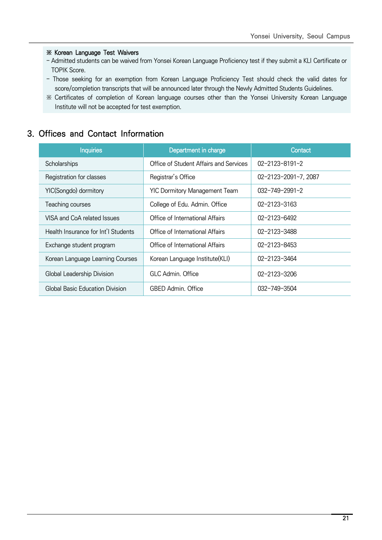### ※ Korean Language Test Waivers

- Admitted students can be waived from Yonsei Korean Language Proficiency test if they submit a KLI Certificate or TOPIK Score.
- Those seeking for an exemption from Korean Language Proficiency Test should check the valid dates for score/completion transcripts that will be announced later through the Newly Admitted Students Guidelines.
- ※ Certificates of completion of Korean language courses other than the Yonsei University Korean Language Institute will not be accepted for test exemption.

### 3. Offices and Contact Information

| <b>Inquiries</b>                    | Department in charge                   | Contact                |
|-------------------------------------|----------------------------------------|------------------------|
| Scholarships                        | Office of Student Affairs and Services | $02 - 2123 - 8191 - 2$ |
| Registration for classes            | Registrar's Office                     | 02-2123-2091~7, 2087   |
| YIC(Songdo) dormitory               | <b>YIC Dormitory Management Team</b>   | $032 - 749 - 2991 - 2$ |
| Teaching courses                    | College of Edu. Admin. Office          | 02-2123-3163           |
| VISA and CoA related Issues         | Office of International Affairs        | $02 - 2123 - 6492$     |
| Health Insurance for Int'l Students | Office of International Affairs        | 02-2123-3488           |
| Exchange student program            | Office of International Affairs        | $02 - 2123 - 8453$     |
| Korean Language Learning Courses    | Korean Language Institute(KLI)         | 02-2123-3464           |
| Global Leadership Division          | GLC Admin, Office                      | 02-2123-3206           |
| Global Basic Education Division     | <b>GBED Admin. Office</b>              | 032-749-3504           |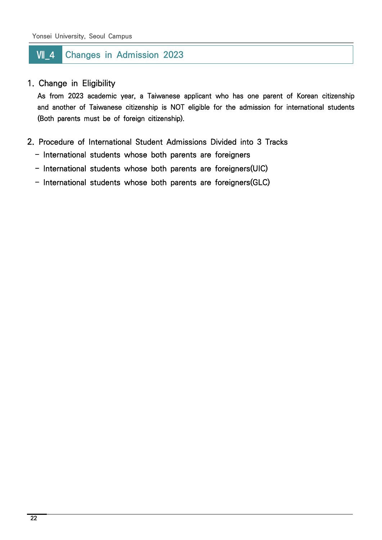## **WI** 4 Changes in Admission 2023

### 1. Change in Eligibility

 As from 2023 academic year, a Taiwanese applicant who has one parent of Korean citizenship and another of Taiwanese citizenship is NOT eligible for the admission for international students (Both parents must be of foreign citizenship).

- 2. Procedure of International Student Admissions Divided into 3 Tracks
	- International students whose both parents are foreigners
	- International students whose both parents are foreigners(UIC)
	- International students whose both parents are foreigners(GLC)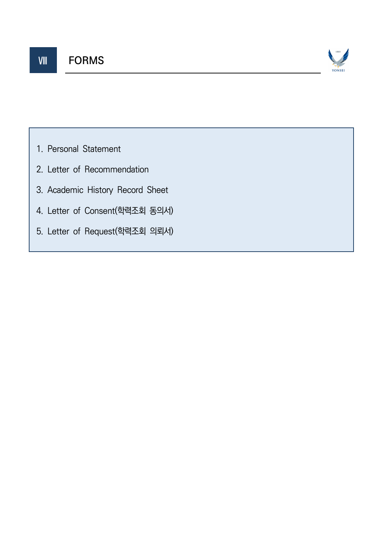

- 1. Personal Statement
- 2. Letter of Recommendation
- 3. Academic History Record Sheet
- 4. Letter of Consent(학력조회 동의서)
- 5. Letter of Request(학력조회 의뢰서)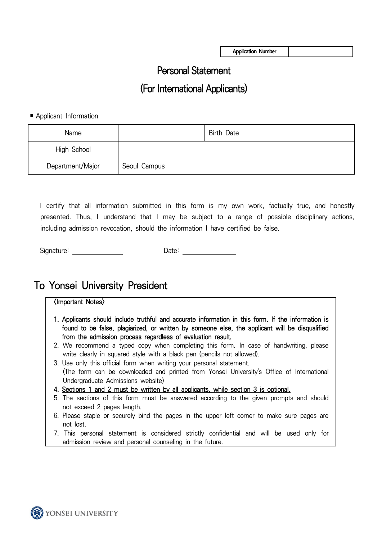**Application Number**

## Personal Statement

## (For International Applicants)

### ■ Applicant Information

| Name             |              | <b>Birth Date</b> |  |
|------------------|--------------|-------------------|--|
| High School      |              |                   |  |
| Department/Major | Seoul Campus |                   |  |

 I certify that all information submitted in this form is my own work, factually true, and honestly presented. Thus, I understand that I may be subject to a range of possible disciplinary actions, including admission revocation, should the information I have certified be false.

| Signature:<br>Jate: |  |
|---------------------|--|
|---------------------|--|

## To Yonsei University President

### <Important Notes>

- 1. Applicants should include truthful and accurate information in this form. If the information is found to be false, plagiarized, or written by someone else, the applicant will be disqualified from the admission process regardless of evaluation result.
- 2. We recommend a typed copy when completing this form. In case of handwriting, please write clearly in squared style with a black pen (pencils not allowed).
- 3. Use only this official form when writing your personal statement. (The form can be downloaded and printed from Yonsei University's Office of International Undergraduate Admissions website)
- 4. Sections 1 and 2 must be written by all applicants, while section 3 is optional.
- 5. The sections of this form must be answered according to the given prompts and should not exceed 2 pages length.
- 6. Please staple or securely bind the pages in the upper left corner to make sure pages are not lost.
- 7. This personal statement is considered strictly confidential and will be used only for admission review and personal counseling in the future.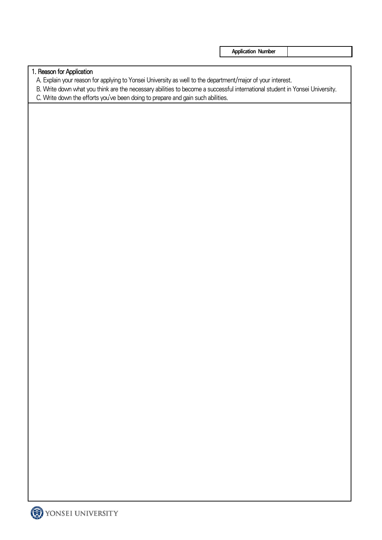**Application Number**

### 1. Reason for Application

A. Explain your reason for applying to Yonsei University as well to the department/major of your interest.

- B. Write down what you think are the necessary abilities to become a successful international student in Yonsei University.
- C. Write down the efforts you've been doing to prepare and gain such abilities.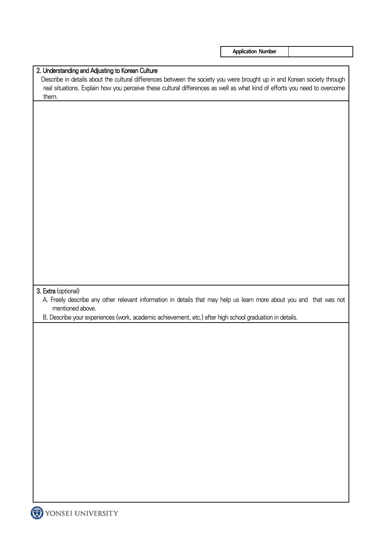**Application Number**

| A. Freely describe any other relevant information in details that may help us learn more about you and that was not<br>mentioned above.<br>B. Describe your experiences (work, academic achievement, etc.) after high school graduation in details. | them. |  | real situations. Explain how you perceive these cultural differences as well as what kind of efforts you need to overcome |  |
|-----------------------------------------------------------------------------------------------------------------------------------------------------------------------------------------------------------------------------------------------------|-------|--|---------------------------------------------------------------------------------------------------------------------------|--|
| 3. Extra (optional)                                                                                                                                                                                                                                 |       |  |                                                                                                                           |  |
|                                                                                                                                                                                                                                                     |       |  |                                                                                                                           |  |
|                                                                                                                                                                                                                                                     |       |  |                                                                                                                           |  |
|                                                                                                                                                                                                                                                     |       |  |                                                                                                                           |  |
|                                                                                                                                                                                                                                                     |       |  |                                                                                                                           |  |
|                                                                                                                                                                                                                                                     |       |  |                                                                                                                           |  |
|                                                                                                                                                                                                                                                     |       |  |                                                                                                                           |  |
|                                                                                                                                                                                                                                                     |       |  |                                                                                                                           |  |
|                                                                                                                                                                                                                                                     |       |  |                                                                                                                           |  |
|                                                                                                                                                                                                                                                     |       |  |                                                                                                                           |  |
|                                                                                                                                                                                                                                                     |       |  |                                                                                                                           |  |
|                                                                                                                                                                                                                                                     |       |  |                                                                                                                           |  |
|                                                                                                                                                                                                                                                     |       |  |                                                                                                                           |  |
|                                                                                                                                                                                                                                                     |       |  |                                                                                                                           |  |
|                                                                                                                                                                                                                                                     |       |  |                                                                                                                           |  |
|                                                                                                                                                                                                                                                     |       |  |                                                                                                                           |  |
|                                                                                                                                                                                                                                                     |       |  |                                                                                                                           |  |
|                                                                                                                                                                                                                                                     |       |  |                                                                                                                           |  |
|                                                                                                                                                                                                                                                     |       |  |                                                                                                                           |  |
|                                                                                                                                                                                                                                                     |       |  |                                                                                                                           |  |
|                                                                                                                                                                                                                                                     |       |  |                                                                                                                           |  |
|                                                                                                                                                                                                                                                     |       |  |                                                                                                                           |  |
|                                                                                                                                                                                                                                                     |       |  |                                                                                                                           |  |
|                                                                                                                                                                                                                                                     |       |  |                                                                                                                           |  |
|                                                                                                                                                                                                                                                     |       |  |                                                                                                                           |  |
|                                                                                                                                                                                                                                                     |       |  |                                                                                                                           |  |
|                                                                                                                                                                                                                                                     |       |  |                                                                                                                           |  |
|                                                                                                                                                                                                                                                     |       |  |                                                                                                                           |  |
|                                                                                                                                                                                                                                                     |       |  |                                                                                                                           |  |
|                                                                                                                                                                                                                                                     |       |  |                                                                                                                           |  |
|                                                                                                                                                                                                                                                     |       |  |                                                                                                                           |  |
|                                                                                                                                                                                                                                                     |       |  |                                                                                                                           |  |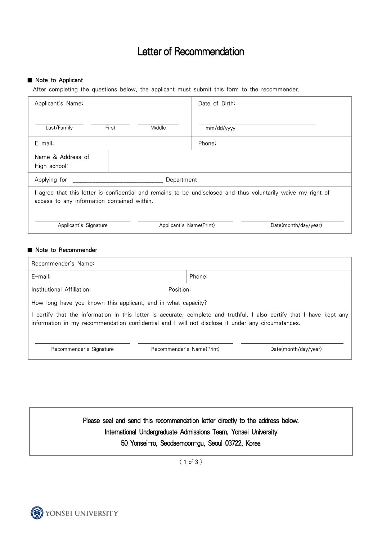## Letter of Recommendation

#### ■ Note to Applicant

After completing the questions below, the applicant must submit this form to the recommender.

| Applicant's Name:                                                                                                                                            |       |                         | Date of Birth: |                      |
|--------------------------------------------------------------------------------------------------------------------------------------------------------------|-------|-------------------------|----------------|----------------------|
| Last/Family                                                                                                                                                  | First | Middle                  | mm/dd/yyyy     |                      |
| $E$ -mail:                                                                                                                                                   |       |                         | Phone:         |                      |
| Name & Address of<br>High school:                                                                                                                            |       |                         |                |                      |
| Applying for _______                                                                                                                                         |       | Department              |                |                      |
| I agree that this letter is confidential and remains to be undisclosed and thus voluntarily waive my right of<br>access to any information contained within. |       |                         |                |                      |
| Applicant's Signature                                                                                                                                        |       | Applicant's Name(Print) |                | Date(month/day/year) |

### ■ Note to Recommender

| Recommender's Name:                                                                               |                                                                                                                       |
|---------------------------------------------------------------------------------------------------|-----------------------------------------------------------------------------------------------------------------------|
| $F$ -mail:                                                                                        | Phone:                                                                                                                |
| Institutional Affiliation:                                                                        | Position:                                                                                                             |
| How long have you known this applicant, and in what capacity?                                     |                                                                                                                       |
| information in my recommendation confidential and I will not disclose it under any circumstances. | I certify that the information in this letter is accurate, complete and truthful. I also certify that I have kept any |
| Recommender's Signature                                                                           | Recommender's Name(Print)<br>Date(month/day/year)                                                                     |
|                                                                                                   |                                                                                                                       |

Please seal and send this recommendation letter directly to the address below. International Undergraduate Admissions Team, Yonsei University 50 Yonsei-ro, Seodaemoon-gu, Seoul 03722, Korea

 $(1 of 3)$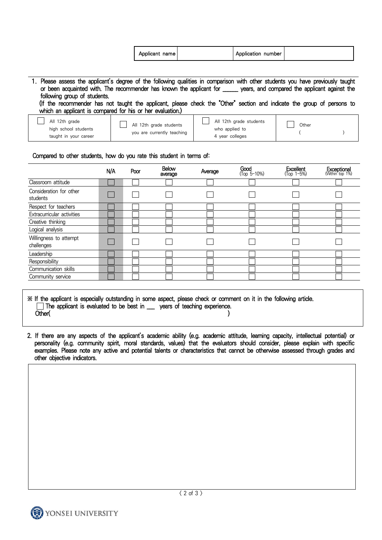|                                                                                                                                 | Applicant name | Application number |  |
|---------------------------------------------------------------------------------------------------------------------------------|----------------|--------------------|--|
|                                                                                                                                 |                |                    |  |
| 1. Please assess the applicant's degree of the following qualities in comparison with other students you have previously taught |                |                    |  |

or been acquainted with. The recommender has known the applicant for \_\_\_\_\_\_ years, and compared the applicant against the following group of students.

 (If the recommender has not taught the applicant, please check the "Other" section and indicate the group of persons to which an applicant is compared for his or her evaluation.)

| All 12th arade        | All 12th arade students    | All 12th grade students | Other |  |
|-----------------------|----------------------------|-------------------------|-------|--|
| high school students  | you are currently teaching | who applied to          |       |  |
| taught in your career |                            | 4 year colleges         |       |  |

#### Compared to other students, how do you rate this student in terms of:

|                                      | N/A | Poor | <b>Below</b><br>average | Average | <b>Good</b><br>(Top 5-10%) | <b>Excellent</b><br>(Top 1-5%) | <b>Exceptional</b><br>(Within top 1%) |  |  |  |  |  |
|--------------------------------------|-----|------|-------------------------|---------|----------------------------|--------------------------------|---------------------------------------|--|--|--|--|--|
| Classroom attitude                   |     |      |                         |         |                            |                                |                                       |  |  |  |  |  |
| Consideration for other<br>students  |     |      |                         |         |                            |                                |                                       |  |  |  |  |  |
| Respect for teachers                 |     |      |                         |         |                            |                                |                                       |  |  |  |  |  |
| Extracurricular activities           |     |      |                         |         |                            |                                |                                       |  |  |  |  |  |
| Creative thinking                    |     |      |                         |         |                            |                                |                                       |  |  |  |  |  |
| Logical analysis                     |     |      |                         |         |                            |                                |                                       |  |  |  |  |  |
| Willingness to attempt<br>challenges |     |      |                         |         |                            |                                |                                       |  |  |  |  |  |
| Leadership                           |     |      |                         |         |                            |                                |                                       |  |  |  |  |  |
| Responsibility                       |     |      |                         |         |                            |                                |                                       |  |  |  |  |  |
| Communication skills                 |     |      |                         |         |                            |                                |                                       |  |  |  |  |  |
| Community service                    |     |      |                         |         |                            |                                |                                       |  |  |  |  |  |

※ If the applicant is especially outstanding in some aspect, please check or comment on it in the following article. The applicant is evaluated to be best in \_\_\_ years of teaching experience. Other( )

2. If there are any aspects of the applicant's academic ability (e.g. academic attitude, learning capacity, intellectual potential) or personality (e.g. community spirit, moral standards, values) that the evaluators should consider, please explain with specific examples. Please note any active and potential talents or characteristics that cannot be otherwise assessed through grades and other objective indicators.

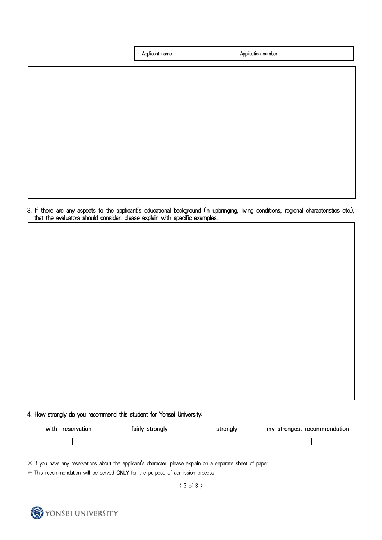| Applicant name | Application number |  |
|----------------|--------------------|--|
|                |                    |  |
|                |                    |  |
|                |                    |  |
|                |                    |  |
|                |                    |  |
|                |                    |  |

3. If there are any aspects to the applicant's educational background (in upbringing, living conditions, regional characteristics etc.), that the evaluators should consider, please explain with specific examples.

### 4. How strongly do you recommend this student for Yonsei University:

| with<br>reservation | fairly strongly | stronalv | my strongest recommendation |
|---------------------|-----------------|----------|-----------------------------|
|                     |                 |          |                             |

⋇ If you have any reservations about the applicant's character, please explain on a separate sheet of paper.

⋇ This recommendation will be served ONLY for the purpose of admission process

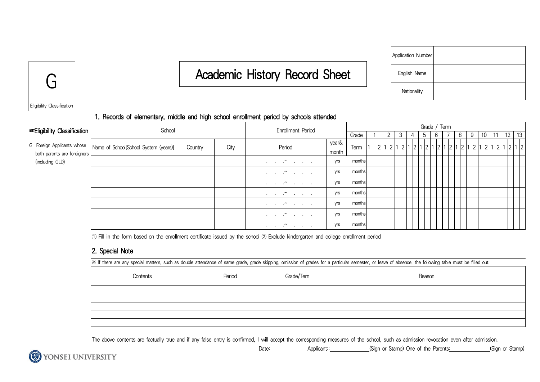# G English Canademic History Record Sheet

| Application Number |  |
|--------------------|--|
| English Name       |  |
| Nationality        |  |



### 1. Records of elementary, middle and high school enrollment period by schools attended

| <b>Example 13</b> Eligibility Classification | School                                                             |         | <b>Enrollment Period</b> |                                                                                                                                   |                |        |  |                |   | Grade / Term |   |   |  |   |   |    |         |  |
|----------------------------------------------|--------------------------------------------------------------------|---------|--------------------------|-----------------------------------------------------------------------------------------------------------------------------------|----------------|--------|--|----------------|---|--------------|---|---|--|---|---|----|---------|--|
|                                              |                                                                    |         |                          |                                                                                                                                   |                | Grade  |  | $\overline{2}$ | 3 | 4            | 5 | 6 |  | 8 | 9 | 11 | 12   13 |  |
| both parents are foreigners                  | G Foreign Applicants whose   Name of School[School System (years)] | Country | City                     | Period                                                                                                                            | year&<br>month | Term   |  |                |   |              |   |   |  |   |   |    |         |  |
| (including GLD)                              |                                                                    |         |                          | $\ldots$ $\sim$ $\ldots$                                                                                                          | yrs            | months |  |                |   |              |   |   |  |   |   |    |         |  |
|                                              |                                                                    |         |                          | $\mathcal{A}=\mathcal{A}=\mathcal{A}^{\mathbf{w}}$ . The set of $\mathcal{A}$                                                     | yrs            | months |  |                |   |              |   |   |  |   |   |    |         |  |
|                                              |                                                                    |         |                          | $\mathbf{r} = \mathbf{r} + \mathbf{r}$ and $\mathbf{r} = \mathbf{r} + \mathbf{r}$                                                 | yrs            | months |  |                |   |              |   |   |  |   |   |    |         |  |
|                                              |                                                                    |         |                          | $\mathbf{r} = \mathbf{r} \times \mathbf{r}$ and $\mathbf{r} = \mathbf{r} \times \mathbf{r}$                                       | yrs            | months |  |                |   |              |   |   |  |   |   |    |         |  |
|                                              |                                                                    |         |                          | $\mathbf{r} = \mathbf{r} + \mathbf{r}$ . The set of $\mathbf{r} = \mathbf{r}$                                                     | yrs            | months |  |                |   |              |   |   |  |   |   |    |         |  |
|                                              |                                                                    |         |                          | $\mathcal{L}^{\mathcal{A}}$ , and $\mathcal{L}^{\mathcal{B}}$ , and $\mathcal{L}^{\mathcal{B}}$ , and $\mathcal{L}^{\mathcal{B}}$ | yrs            | months |  |                |   |              |   |   |  |   |   |    |         |  |
|                                              |                                                                    |         |                          | $\mathbf{r} = \mathbf{r} \times \mathbf{r}$ and $\mathbf{r} = \mathbf{r} \times \mathbf{r}$                                       | yrs            | months |  |                |   |              |   |   |  |   |   |    |         |  |

① Fill in the form based on the enrollment certificate issued by the school ② Exclude kindergarten and college enrollment period

### 2. Special Note

| X If there are any special matters, such as double attendance of same grade, grade skipping, omission of grades for a particular semester, or leave of absence, the following table must be filled out. |        |            |        |  |  |  |
|---------------------------------------------------------------------------------------------------------------------------------------------------------------------------------------------------------|--------|------------|--------|--|--|--|
| Contents                                                                                                                                                                                                | Period | Grade/Tern | Reason |  |  |  |
|                                                                                                                                                                                                         |        |            |        |  |  |  |
|                                                                                                                                                                                                         |        |            |        |  |  |  |
|                                                                                                                                                                                                         |        |            |        |  |  |  |
|                                                                                                                                                                                                         |        |            |        |  |  |  |
|                                                                                                                                                                                                         |        |            |        |  |  |  |

Date: Applicant:: (Sign or Stamp) One of the Parents: (Sign or Stamp)

The above contents are factually true and if any false entry is confirmed, I will accept the corresponding measures of the school, such as admission revocation even after admission.

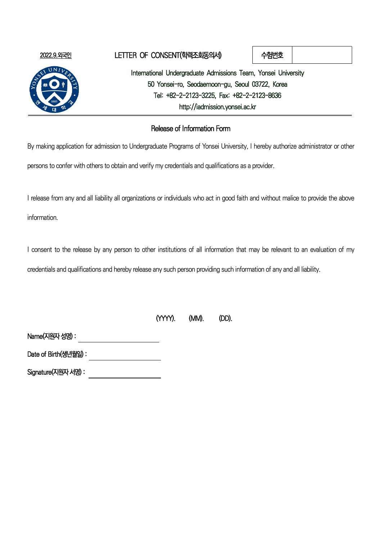

### 2022.9.외국인 LETTER OF CONSENT(학력조회동의서) 수험번호

International Undergraduate Admissions Team, Yonsei University 50 Yonsei-ro, Seodaemoon-gu, Seoul 03722, Korea Tel: +82-2-2123-3225, Fax: +82-2-2123-8636 http://iadmission.yonsei.ac.kr

### Release of Information Form

By making application for admission to Undergraduate Programs of Yonsei University, I hereby authorize administrator or other

persons to confer with others to obtain and verify my credentials and qualifications as a provider.

I release from any and all liability all organizations or individuals who act in good faith and without malice to provide the above

information.

I consent to the release by any person to other institutions of all information that may be relevant to an evaluation of my

credentials and qualifications and hereby release any such person providing such information of any and all liability.

| (YYYY). | (MM). | (DD). |
|---------|-------|-------|
|         |       |       |

Name(지원자 성명) : 

Date of Birth(생년월일) : 

Signature(지원자 서명) :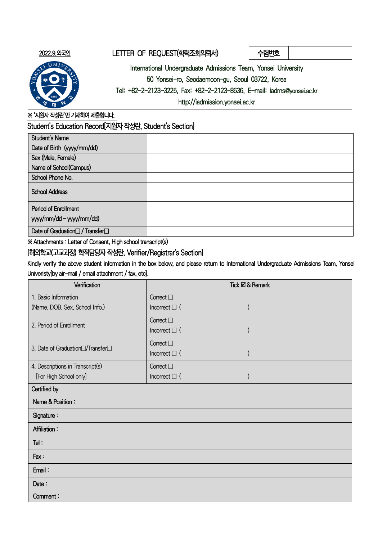### 2022.9.외국인 LETTER OF REQUEST(학력조회의뢰서) 수험번호

International Undergraduate Admissions Team, Yonsei University

50 Yonsei-ro, Seodaemoon-gu, Seoul 03722, Korea

Tel: +82-2-2123-3225, Fax: +82-2-2123-8636, E-mail: iadms@yonsei.ac.kr

http://iadmission.yonsei.ac.kr

※ '지원자 작성란'만 기재하여 제출합니다.

Student's Education Record[지원자 작성란, Student's Section]

| <b>Student's Name</b>                                       |  |
|-------------------------------------------------------------|--|
| Date of Birth (yyyy/mm/dd)                                  |  |
| Sex (Male, Female)                                          |  |
| Name of School(Campus)                                      |  |
| School Phone No.                                            |  |
| <b>School Address</b>                                       |  |
| Period of Enrollment                                        |  |
| yyy/mm/dd ~ yyyy/mm/dd)                                     |  |
| Date of Graduation <sup>[1]</sup> / Transfer <sup>[1]</sup> |  |

※ Attachments : Letter of Consent, High school transcript(s)

[해외학교(고교과정) 학적담당자 작성란, Verifier/Registrar's Section]

Kindly verify the above student information in the box below, and please return to International Undergraduate Admissions Team, Yonsei Univeristy[by air-mail / email attachment / fax, etc].

| Verification                                              | Tick ⊠ & Remark    |
|-----------------------------------------------------------|--------------------|
| 1. Basic Information                                      | Correct $\square$  |
| (Name, DOB, Sex, School Info.)                            | Incorrect $\Box$ ( |
| 2. Period of Enrollment                                   | Correct $\square$  |
|                                                           | Incorrect $\Box$ ( |
| 3. Date of Graduation <sup>1</sup> /Transfer <sup>1</sup> | Correct $\square$  |
|                                                           | Incorrect $\Box$ ( |
| 4. Descriptions in Transcript(s)                          | Correct $\square$  |
| [For High School only]                                    | Incorrect $\Box$ ( |
| Certified by                                              |                    |
| Name & Position:                                          |                    |
| Signature:                                                |                    |
| <b>Affiliation:</b>                                       |                    |
| Tel:                                                      |                    |
| Fax:                                                      |                    |
| Email:                                                    |                    |
| Date:                                                     |                    |
| Comment:                                                  |                    |